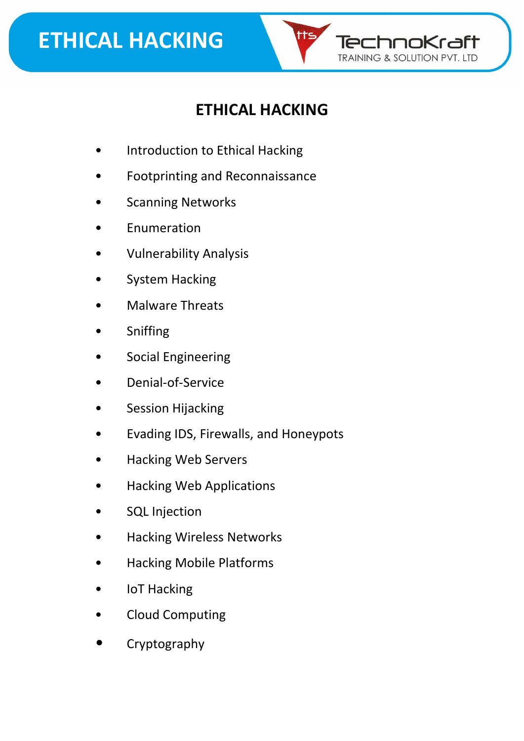

#### **ETHICAL HACKING**

- Introduction to Ethical Hacking
- Footprinting and Reconnaissance
- **Scanning Networks**
- **Enumeration**
- Vulnerability Analysis
- System Hacking
- Malware Threats
- **Sniffing**
- Social Engineering
- Denial-of-Service
- Session Hijacking
- Evading IDS, Firewalls, and Honeypots
- Hacking Web Servers
- Hacking Web Applications
- SQL Injection
- Hacking Wireless Networks
- Hacking Mobile Platforms
- **IoT Hacking**
- Cloud Computing
- Cryptography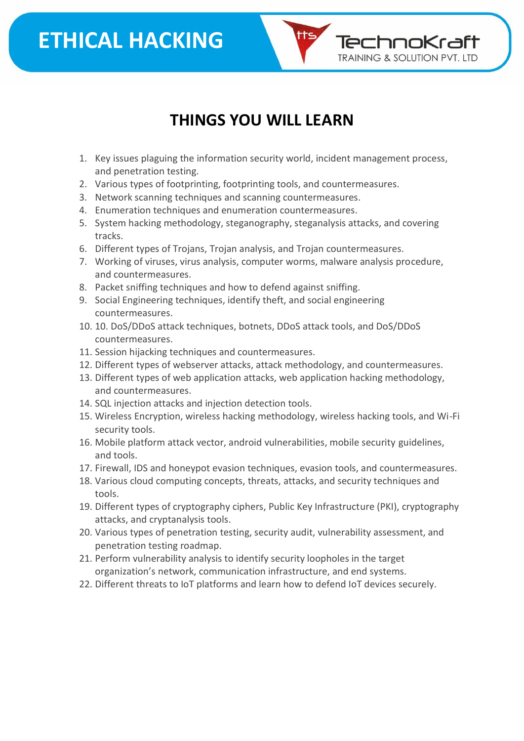### **ETHICAL HACKING**



#### **THINGS YOU WILL LEARN**

- 1. Key issues plaguing the information security world, incident management process, and penetration testing.
- 2. Various types of footprinting, footprinting tools, and countermeasures.
- 3. Network scanning techniques and scanning countermeasures.
- 4. Enumeration techniques and enumeration countermeasures.
- 5. System hacking methodology, steganography, steganalysis attacks, and covering tracks.
- 6. Different types of Trojans, Trojan analysis, and Trojan countermeasures.
- 7. Working of viruses, virus analysis, computer worms, malware analysis procedure, and countermeasures.
- 8. Packet sniffing techniques and how to defend against sniffing.
- 9. Social Engineering techniques, identify theft, and social engineering countermeasures.
- 10. 10. DoS/DDoS attack techniques, botnets, DDoS attack tools, and DoS/DDoS countermeasures.
- 11. Session hijacking techniques and countermeasures.
- 12. Different types of webserver attacks, attack methodology, and countermeasures.
- 13. Different types of web application attacks, web application hacking methodology, and countermeasures.
- 14. SQL injection attacks and injection detection tools.
- 15. Wireless Encryption, wireless hacking methodology, wireless hacking tools, and Wi-Fi security tools.
- 16. Mobile platform attack vector, android vulnerabilities, mobile security guidelines, and tools.
- 17. Firewall, IDS and honeypot evasion techniques, evasion tools, and countermeasures.
- 18. Various cloud computing concepts, threats, attacks, and security techniques and tools.
- 19. Different types of cryptography ciphers, Public Key Infrastructure (PKI), cryptography attacks, and cryptanalysis tools.
- 20. Various types of penetration testing, security audit, vulnerability assessment, and penetration testing roadmap.
- 21. Perform vulnerability analysis to identify security loopholes in the target organization's network, communication infrastructure, and end systems.
- 22. Different threats to IoT platforms and learn how to defend IoT devices securely.